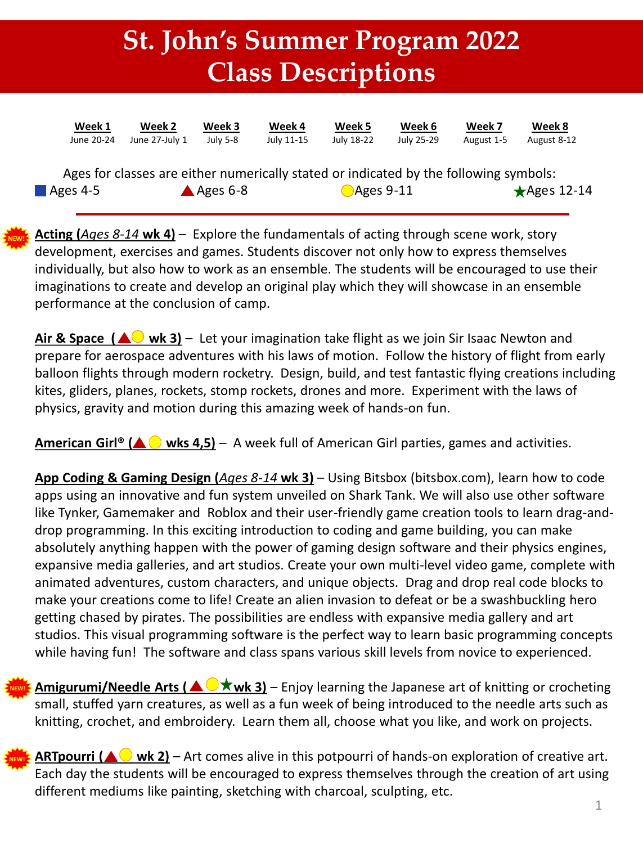## **St. John's Summer Program 2022 Class Descriptions**

| Week 1     | Week 2                                                                                | Week 3               | Week 4     | Week 5               | Week 6     | Week 7     | Week 8                |
|------------|---------------------------------------------------------------------------------------|----------------------|------------|----------------------|------------|------------|-----------------------|
| June 20-24 | June 27-July 1                                                                        | July 5-8             | July 11-15 | July 18-22           | July 25-29 | August 1-5 | August 8-12           |
| Ages 4-5   | Ages for classes are either numerically stated or indicated by the following symbols: | $\triangle$ Ages 6-8 |            | $\bigcirc$ Ages 9-11 |            |            | $\bigstar$ Ages 12-14 |

**Acting (***Ages 8-14* **wk 4)** – Explore the fundamentals of acting through scene work, story development, exercises and games. Students discover not only how to express themselves individually, but also how to work as an ensemble. The students will be encouraged to use their imaginations to create and develop an original play which they will showcase in an ensemble performance at the conclusion of camp.

**Air & Space (** $\triangle$ **) wk 3)** – Let your imagination take flight as we join Sir Isaac Newton and prepare for aerospace adventures with his laws of motion. Follow the history of flight from early balloon flights through modern rocketry. Design, build, and test fantastic flying creations including kites, gliders, planes, rockets, stomp rockets, drones and more. Experiment with the laws of physics, gravity and motion during this amazing week of hands-on fun.

**American Girl<sup>®</sup> (▲ ● wks 4,5)** – A week full of American Girl parties, games and activities.

**App Coding & Gaming Design (***Ages 8-14* **wk 3)** – Using Bitsbox (bitsbox.com), learn how to code apps using an innovative and fun system unveiled on Shark Tank. We will also use other software like Tynker, Gamemaker and Roblox and their user-friendly game creation tools to learn drag-anddrop programming. In this exciting introduction to coding and game building, you can make absolutely anything happen with the power of gaming design software and their physics engines, expansive media galleries, and art studios. Create your own multi-level video game, complete with animated adventures, custom characters, and unique objects. Drag and drop real code blocks to make your creations come to life! Create an alien invasion to defeat or be a swashbuckling hero getting chased by pirates. The possibilities are endless with expansive media gallery and art studios. This visual programming software is the perfect way to learn basic programming concepts while having fun! The software and class spans various skill levels from novice to experienced.

**Amigurumi/Needle Arts (** $\triangle$  $\triangledown$  **wk 3)** – Enjoy learning the Japanese art of knitting or crocheting small, stuffed yarn creatures, as well as a fun week of being introduced to the needle arts such as knitting, crochet, and embroidery. Learn them all, choose what you like, and work on projects. **NEW!**

**ARTpourri (** $\triangle$  wk 2) – Art comes alive in this potpourri of hands-on exploration of creative art. Each day the students will be encouraged to express themselves through the creation of art using different mediums like painting, sketching with charcoal, sculpting, etc. **NEW!**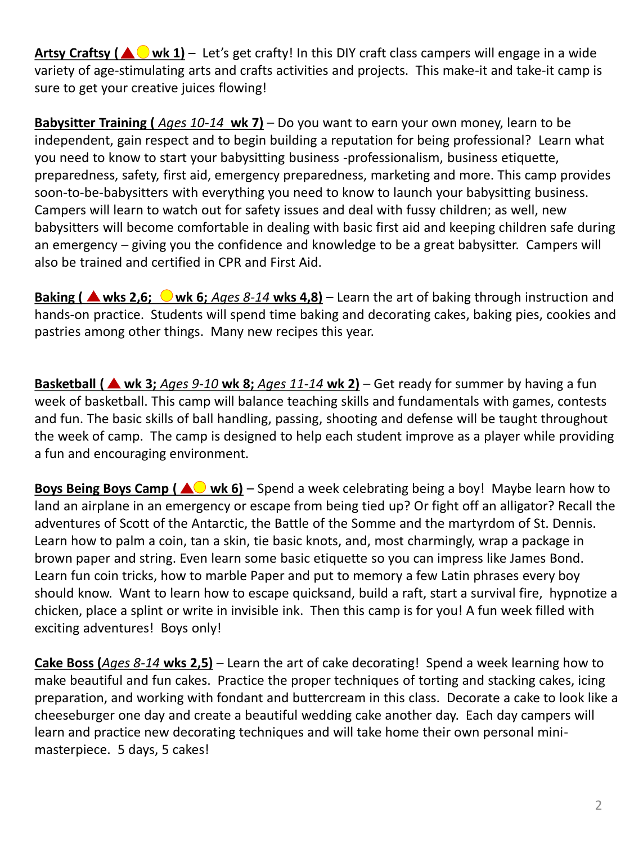Artsy Craftsy (AO wk 1) – Let's get crafty! In this DIY craft class campers will engage in a wide variety of age-stimulating arts and crafts activities and projects. This make-it and take-it camp is sure to get your creative juices flowing!

**Babysitter Training (** *Ages 10-14* **wk 7)** – Do you want to earn your own money, learn to be independent, gain respect and to begin building a reputation for being professional? Learn what you need to know to start your babysitting business -professionalism, business etiquette, preparedness, safety, first aid, emergency preparedness, marketing and more. This camp provides soon-to-be-babysitters with everything you need to know to launch your babysitting business. Campers will learn to watch out for safety issues and deal with fussy children; as well, new babysitters will become comfortable in dealing with basic first aid and keeping children safe during an emergency – giving you the confidence and knowledge to be a great babysitter. Campers will also be trained and certified in CPR and First Aid.

**Baking (**  $\triangle$  **wks 2,6;**  $\bigcirc$  **wk 6;** *Ages 8-14* wks 4,8) – Learn the art of baking through instruction and hands-on practice. Students will spend time baking and decorating cakes, baking pies, cookies and pastries among other things. Many new recipes this year.

**Basketball (▲ wk 3;** *Ages 9-10 wk 8; Ages 11-14 wk 2*) – Get ready for summer by having a fun week of basketball. This camp will balance teaching skills and fundamentals with games, contests and fun. The basic skills of ball handling, passing, shooting and defense will be taught throughout the week of camp. The camp is designed to help each student improve as a player while providing a fun and encouraging environment.

**Boys Being Boys Camp (AO wk 6)** – Spend a week celebrating being a boy! Maybe learn how to land an airplane in an emergency or escape from being tied up? Or fight off an alligator? Recall the adventures of Scott of the Antarctic, the Battle of the Somme and the martyrdom of St. Dennis. Learn how to palm a coin, tan a skin, tie basic knots, and, most charmingly, wrap a package in brown paper and string. Even learn some basic etiquette so you can impress like James Bond. Learn fun coin tricks, how to marble Paper and put to memory a few Latin phrases every boy should know. Want to learn how to escape quicksand, build a raft, start a survival fire, hypnotize a chicken, place a splint or write in invisible ink. Then this camp is for you! A fun week filled with exciting adventures! Boys only!

**Cake Boss (***Ages 8-14* **wks 2,5)** – Learn the art of cake decorating! Spend a week learning how to make beautiful and fun cakes. Practice the proper techniques of torting and stacking cakes, icing preparation, and working with fondant and buttercream in this class. Decorate a cake to look like a cheeseburger one day and create a beautiful wedding cake another day. Each day campers will learn and practice new decorating techniques and will take home their own personal minimasterpiece. 5 days, 5 cakes!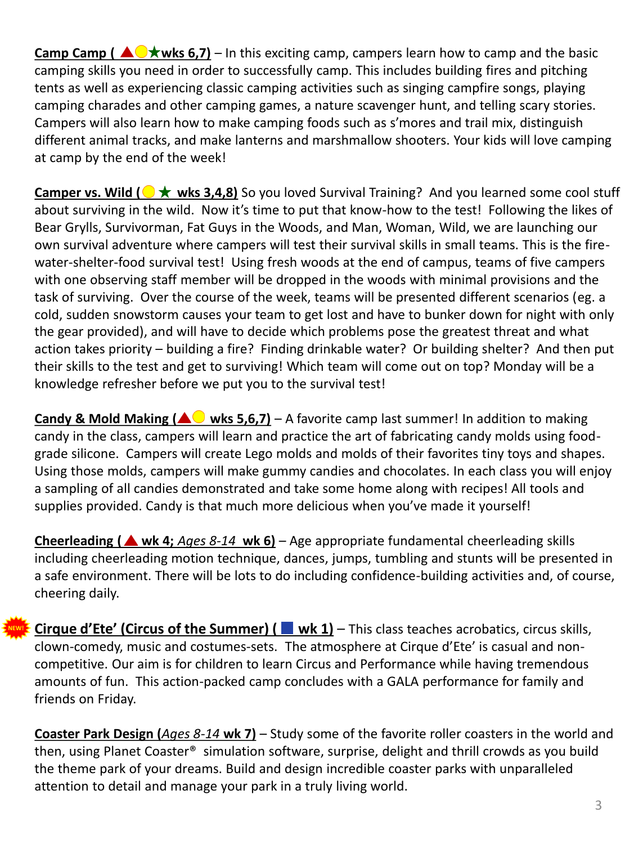**Camp Camp (** $\triangle$  $\forall$  **wks 6,7)** – In this exciting camp, campers learn how to camp and the basic camping skills you need in order to successfully camp. This includes building fires and pitching tents as well as experiencing classic camping activities such as singing campfire songs, playing camping charades and other camping games, a nature scavenger hunt, and telling scary stories. Campers will also learn how to make camping foods such as s'mores and trail mix, distinguish different animal tracks, and make lanterns and marshmallow shooters. Your kids will love camping at camp by the end of the week!

**Camper vs. Wild (** $\rightarrow \star$  **wks 3,4,8)** So you loved Survival Training? And you learned some cool stuff about surviving in the wild. Now it's time to put that know-how to the test! Following the likes of Bear Grylls, Survivorman, Fat Guys in the Woods, and Man, Woman, Wild, we are launching our own survival adventure where campers will test their survival skills in small teams. This is the firewater-shelter-food survival test! Using fresh woods at the end of campus, teams of five campers with one observing staff member will be dropped in the woods with minimal provisions and the task of surviving. Over the course of the week, teams will be presented different scenarios (eg. a cold, sudden snowstorm causes your team to get lost and have to bunker down for night with only the gear provided), and will have to decide which problems pose the greatest threat and what action takes priority – building a fire? Finding drinkable water? Or building shelter? And then put their skills to the test and get to surviving! Which team will come out on top? Monday will be a knowledge refresher before we put you to the survival test!

**Candy & Mold Making (** $\triangle$  **wks 5,6,7)** – A favorite camp last summer! In addition to making candy in the class, campers will learn and practice the art of fabricating candy molds using foodgrade silicone. Campers will create Lego molds and molds of their favorites tiny toys and shapes. Using those molds, campers will make gummy candies and chocolates. In each class you will enjoy a sampling of all candies demonstrated and take some home along with recipes! All tools and supplies provided. Candy is that much more delicious when you've made it yourself!

**Cheerleading ( wk 4;** *Ages 8-14* **wk 6)** – Age appropriate fundamental cheerleading skills including cheerleading motion technique, dances, jumps, tumbling and stunts will be presented in a safe environment. There will be lots to do including confidence-building activities and, of course, cheering daily.

**Cirque d'Ete' (Circus of the Summer) (**  $\blacksquare$  wk 1) – This class teaches acrobatics, circus skills, clown-comedy, music and costumes-sets. The atmosphere at Cirque d'Ete' is casual and noncompetitive. Our aim is for children to learn Circus and Performance while having tremendous amounts of fun. This action-packed camp concludes with a GALA performance for family and friends on Friday.

**NEW!**

**Coaster Park Design (***Ages 8-14* **wk 7)** – Study some of the favorite roller coasters in the world and then, using Planet Coaster® simulation software, surprise, delight and thrill crowds as you build the theme park of your dreams. Build and design incredible coaster parks with unparalleled attention to detail and manage your park in a truly living world.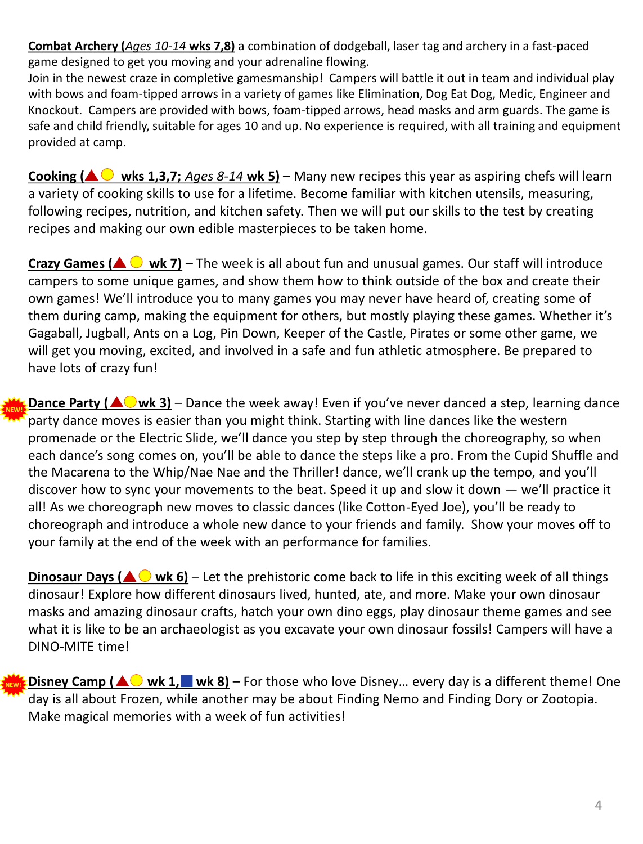**Combat Archery (***Ages 10-14* **wks 7,8)** a combination of dodgeball, laser tag and archery in a fast-paced game designed to get you moving and your adrenaline flowing.

Join in the newest craze in completive gamesmanship! Campers will battle it out in team and individual play with bows and foam-tipped arrows in a variety of games like Elimination, Dog Eat Dog, Medic, Engineer and Knockout. Campers are provided with bows, foam-tipped arrows, head masks and arm guards. The game is safe and child friendly, suitable for ages 10 and up. No experience is required, with all training and equipment provided at camp.

**Cooking (** $\triangle$  wks 1,3,7; *Ages 8-14* wk 5) – Many new recipes this year as aspiring chefs will learn a variety of cooking skills to use for a lifetime. Become familiar with kitchen utensils, measuring, following recipes, nutrition, and kitchen safety. Then we will put our skills to the test by creating recipes and making our own edible masterpieces to be taken home.

**Crazy Games (** $\triangle$  $\odot$  **wk 7)** – The week is all about fun and unusual games. Our staff will introduce campers to some unique games, and show them how to think outside of the box and create their own games! We'll introduce you to many games you may never have heard of, creating some of them during camp, making the equipment for others, but mostly playing these games. Whether it's Gagaball, Jugball, Ants on a Log, Pin Down, Keeper of the Castle, Pirates or some other game, we will get you moving, excited, and involved in a safe and fun athletic atmosphere. Be prepared to have lots of crazy fun!

**Dance Party (** $\triangle$ **) wk 3)** – Dance the week away! Even if you've never danced a step, learning dance party dance moves is easier than you might think. Starting with line dances like the western promenade or the Electric Slide, we'll dance you step by step through the choreography, so when each dance's song comes on, you'll be able to dance the steps like a pro. From the Cupid Shuffle and the Macarena to the Whip/Nae Nae and the Thriller! dance, we'll crank up the tempo, and you'll discover how to sync your movements to the beat. Speed it up and slow it down — we'll practice it all! As we choreograph new moves to classic dances (like Cotton-Eyed Joe), you'll be ready to choreograph and introduce a whole new dance to your friends and family. Show your moves off to your family at the end of the week with an performance for families.

**Dinosaur Days (** $\triangle$  **wk 6)** – Let the prehistoric come back to life in this exciting week of all things dinosaur! Explore how different dinosaurs lived, hunted, ate, and more. Make your own dinosaur masks and amazing dinosaur crafts, hatch your own dino eggs, play dinosaur theme games and see what it is like to be an archaeologist as you excavate your own dinosaur fossils! Campers will have a DINO-MITE time!

**Disney Camp (** $\triangle$ **) wk 1, wk 8)** – For those who love Disney... every day is a different theme! One day is all about Frozen, while another may be about Finding Nemo and Finding Dory or Zootopia. Make magical memories with a week of fun activities! **NEW!**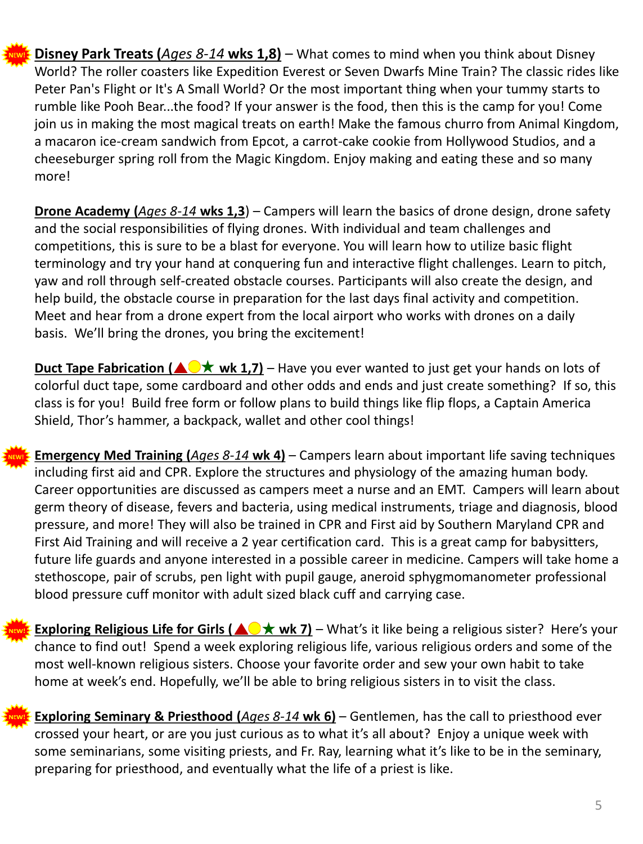

**NEW!**

**Disney Park Treats (***Ages 8-14* **wks 1,8)** – What comes to mind when you think about Disney World? The roller coasters like Expedition Everest or Seven Dwarfs Mine Train? The classic rides like Peter Pan's Flight or It's A Small World? Or the most important thing when your tummy starts to rumble like Pooh Bear...the food? If your answer is the food, then this is the camp for you! Come join us in making the most magical treats on earth! Make the famous churro from Animal Kingdom, a macaron ice-cream sandwich from Epcot, a carrot-cake cookie from Hollywood Studios, and a cheeseburger spring roll from the Magic Kingdom. Enjoy making and eating these and so many more!

**Drone Academy (***Ages 8-14* **wks 1,3**) – Campers will learn the basics of drone design, drone safety and the social responsibilities of flying drones. With individual and team challenges and competitions, this is sure to be a blast for everyone. You will learn how to utilize basic flight terminology and try your hand at conquering fun and interactive flight challenges. Learn to pitch, yaw and roll through self-created obstacle courses. Participants will also create the design, and help build, the obstacle course in preparation for the last days final activity and competition. Meet and hear from a drone expert from the local airport who works with drones on a daily basis. We'll bring the drones, you bring the excitement!

**Duct Tape Fabrication (** $\triangle$  $\forall$  **wk 1,7)** – Have you ever wanted to just get your hands on lots of colorful duct tape, some cardboard and other odds and ends and just create something? If so, this class is for you! Build free form or follow plans to build things like flip flops, a Captain America Shield, Thor's hammer, a backpack, wallet and other cool things!

**Emergency Med Training (***Ages 8-14* **wk 4)** – Campers learn about important life saving techniques including first aid and CPR. Explore the structures and physiology of the amazing human body. Career opportunities are discussed as campers meet a nurse and an EMT. Campers will learn about germ theory of disease, fevers and bacteria, using medical instruments, triage and diagnosis, blood pressure, and more! They will also be trained in CPR and First aid by Southern Maryland CPR and First Aid Training and will receive a 2 year certification card. This is a great camp for babysitters, future life guards and anyone interested in a possible career in medicine. Campers will take home a stethoscope, pair of scrubs, pen light with pupil gauge, aneroid sphygmomanometer professional blood pressure cuff monitor with adult sized black cuff and carrying case.



**Exploring Seminary & Priesthood (***Ages 8-14* **wk 6)** – Gentlemen, has the call to priesthood ever crossed your heart, or are you just curious as to what it's all about? Enjoy a unique week with some seminarians, some visiting priests, and Fr. Ray, learning what it's like to be in the seminary, preparing for priesthood, and eventually what the life of a priest is like.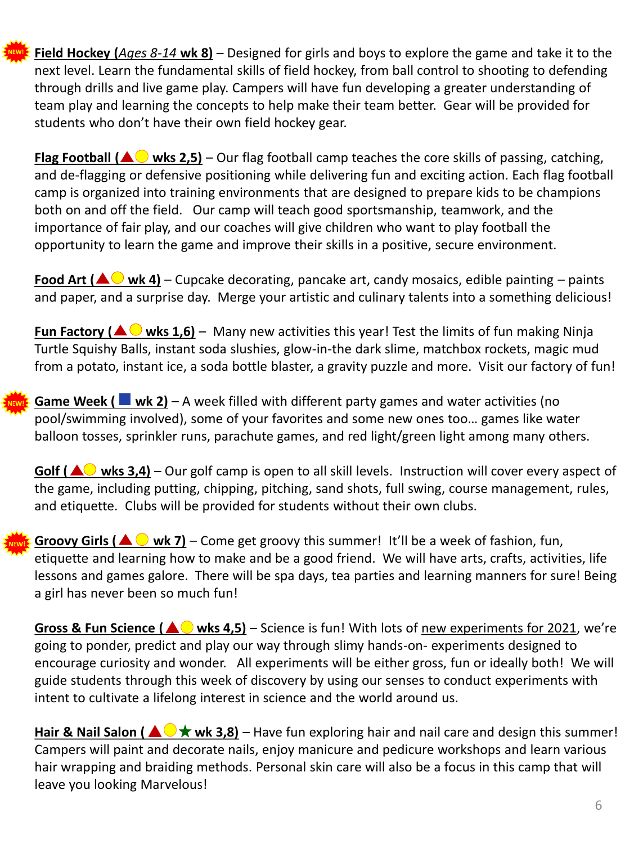**Field Hockey (***Ages 8-14* **wk 8)** – Designed for girls and boys to explore the game and take it to the next level. Learn the fundamental skills of field hockey, from ball control to shooting to defending through drills and live game play. Campers will have fun developing a greater understanding of team play and learning the concepts to help make their team better. Gear will be provided for students who don't have their own field hockey gear.

**NEW!**

**Flag Football (** $\triangle\bigcirc$  **wks 2,5)** – Our flag football camp teaches the core skills of passing, catching, and de-flagging or defensive positioning while delivering fun and exciting action. Each flag football camp is organized into training environments that are designed to prepare kids to be champions both on and off the field. Our camp will teach good sportsmanship, teamwork, and the importance of fair play, and our coaches will give children who want to play football the opportunity to learn the game and improve their skills in a positive, secure environment.

**Food Art (** $\triangle$  **wk 4)** – Cupcake decorating, pancake art, candy mosaics, edible painting – paints and paper, and a surprise day. Merge your artistic and culinary talents into a something delicious!

**Fun Factory (** $\triangle$  $\bigcirc$  **wks 1,6)** – Many new activities this year! Test the limits of fun making Ninja Turtle Squishy Balls, instant soda slushies, glow-in-the dark slime, matchbox rockets, magic mud from a potato, instant ice, a soda bottle blaster, a gravity puzzle and more. Visit our factory of fun!

**Game Week ( wk 2)** – A week filled with different party games and water activities (no pool/swimming involved), some of your favorites and some new ones too… games like water balloon tosses, sprinkler runs, parachute games, and red light/green light among many others.

**Golf (** $\triangle$ **) wks 3,4)** – Our golf camp is open to all skill levels. Instruction will cover every aspect of the game, including putting, chipping, pitching, sand shots, full swing, course management, rules, and etiquette. Clubs will be provided for students without their own clubs.

**Groovy Girls (** $\triangle$  $\bigcirc$  **wk 7)** – Come get groovy this summer! It'll be a week of fashion, fun, etiquette and learning how to make and be a good friend. We will have arts, crafts, activities, life lessons and games galore. There will be spa days, tea parties and learning manners for sure! Being a girl has never been so much fun!

**Gross & Fun Science (** $\triangle$  **wks 4,5)** – Science is fun! With lots of new experiments for 2021, we're going to ponder, predict and play our way through slimy hands-on- experiments designed to encourage curiosity and wonder. All experiments will be either gross, fun or ideally both! We will guide students through this week of discovery by using our senses to conduct experiments with intent to cultivate a lifelong interest in science and the world around us.

**Hair & Nail Salon (** $\triangle \bigcirc \star$  **wk 3,8)** – Have fun exploring hair and nail care and design this summer! Campers will paint and decorate nails, enjoy manicure and pedicure workshops and learn various hair wrapping and braiding methods. Personal skin care will also be a focus in this camp that will leave you looking Marvelous!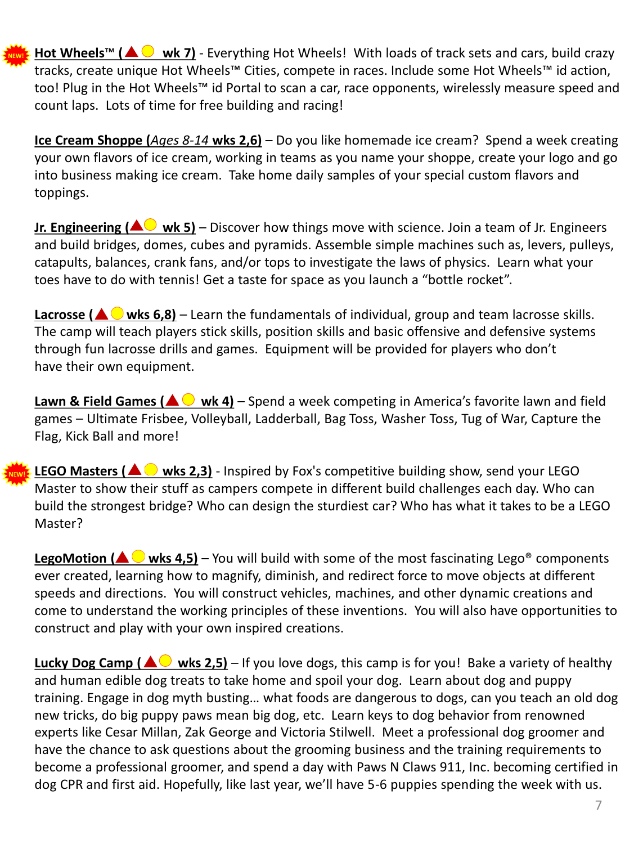Hot Wheels<sup>™</sup> (A V wk 7) - Everything Hot Wheels! With loads of track sets and cars, build crazy tracks, create unique Hot Wheels™ Cities, compete in races. Include some Hot Wheels™ id action, too! Plug in the Hot Wheels™ id Portal to scan a car, race opponents, wirelessly measure speed and count laps. Lots of time for free building and racing! **NEW!**

**Ice Cream Shoppe (***Ages 8-14* **wks 2,6)** – Do you like homemade ice cream? Spend a week creating your own flavors of ice cream, working in teams as you name your shoppe, create your logo and go into business making ice cream. Take home daily samples of your special custom flavors and toppings.

**Jr. Engineering (** $\triangle\bigcirc$  **wk 5)** – Discover how things move with science. Join a team of Jr. Engineers and build bridges, domes, cubes and pyramids. Assemble simple machines such as, levers, pulleys, catapults, balances, crank fans, and/or tops to investigate the laws of physics. Learn what your toes have to do with tennis! Get a taste for space as you launch a "bottle rocket".

Lacrosse (A Wks 6,8) – Learn the fundamentals of individual, group and team lacrosse skills. The camp will teach players stick skills, position skills and basic offensive and defensive systems through fun lacrosse drills and games. Equipment will be provided for players who don't have their own equipment.

**Lawn & Field Games (** $\triangle$  $\heartsuit$  **wk 4)** – Spend a week competing in America's favorite lawn and field games – Ultimate Frisbee, Volleyball, Ladderball, Bag Toss, Washer Toss, Tug of War, Capture the Flag, Kick Ball and more!

**LEGO Masters (** $\triangle$  wks 2,3) - Inspired by Fox's competitive building show, send your LEGO Master to show their stuff as campers compete in different build challenges each day. Who can build the strongest bridge? Who can design the sturdiest car? Who has what it takes to be a LEGO Master?

**LegoMotion (** $\triangle$  wks 4,5) – You will build with some of the most fascinating Lego<sup>®</sup> components ever created, learning how to magnify, diminish, and redirect force to move objects at different speeds and directions. You will construct vehicles, machines, and other dynamic creations and come to understand the working principles of these inventions. You will also have opportunities to construct and play with your own inspired creations.

**Lucky Dog Camp (** $\triangle$  **wks 2,5)** – If you love dogs, this camp is for you! Bake a variety of healthy and human edible dog treats to take home and spoil your dog. Learn about dog and puppy training. Engage in dog myth busting… what foods are dangerous to dogs, can you teach an old dog new tricks, do big puppy paws mean big dog, etc. Learn keys to dog behavior from renowned experts like Cesar Millan, Zak George and Victoria Stilwell. Meet a professional dog groomer and have the chance to ask questions about the grooming business and the training requirements to become a professional groomer, and spend a day with Paws N Claws 911, Inc. becoming certified in dog CPR and first aid. Hopefully, like last year, we'll have 5-6 puppies spending the week with us.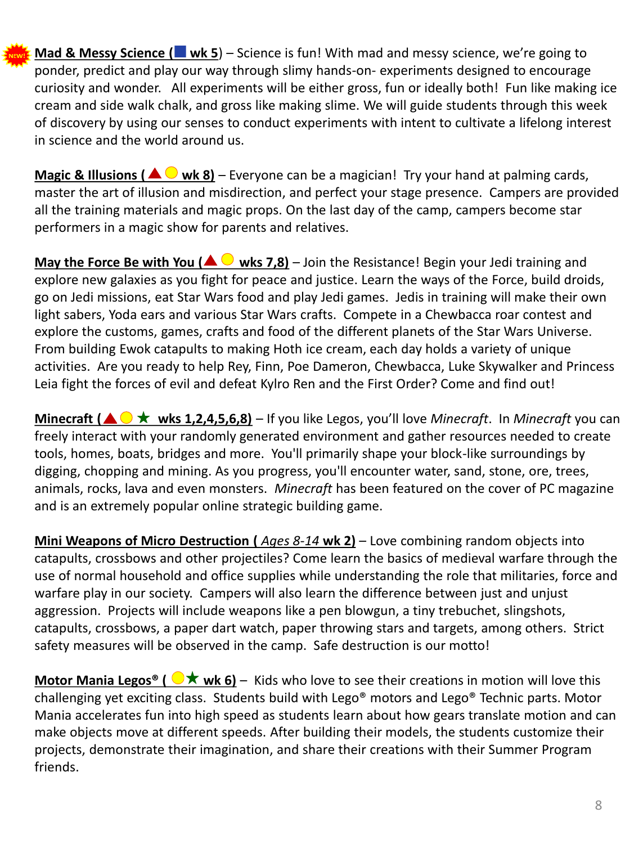**Mad & Messy Science (** wk 5) – Science is fun! With mad and messy science, we're going to ponder, predict and play our way through slimy hands-on- experiments designed to encourage curiosity and wonder. All experiments will be either gross, fun or ideally both! Fun like making ice cream and side walk chalk, and gross like making slime. We will guide students through this week of discovery by using our senses to conduct experiments with intent to cultivate a lifelong interest in science and the world around us.

**Magic & Illusions (** $\triangle$  $\bigcirc$  **wk 8)** – Everyone can be a magician! Try your hand at palming cards, master the art of illusion and misdirection, and perfect your stage presence. Campers are provided all the training materials and magic props. On the last day of the camp, campers become star performers in a magic show for parents and relatives.

**May the Force Be with You (** $\triangle$  $\bigcirc$  **wks 7,8)** – Join the Resistance! Begin your Jedi training and explore new galaxies as you fight for peace and justice. Learn the ways of the Force, build droids, go on Jedi missions, eat Star Wars food and play Jedi games. Jedis in training will make their own light sabers, Yoda ears and various Star Wars crafts. Compete in a Chewbacca roar contest and explore the customs, games, crafts and food of the different planets of the Star Wars Universe. From building Ewok catapults to making Hoth ice cream, each day holds a variety of unique activities. Are you ready to help Rey, Finn, Poe Dameron, Chewbacca, Luke Skywalker and Princess Leia fight the forces of evil and defeat Kylro Ren and the First Order? Come and find out!

**Minecraft (** $\triangle$  $\triangleright$  $\star$  **wks 1,2,4,5,6,8)** – If you like Legos, you'll love *Minecraft*. In *Minecraft* you can freely interact with your randomly generated environment and gather resources needed to create tools, homes, boats, bridges and more. You'll primarily shape your block-like surroundings by digging, chopping and mining. As you progress, you'll encounter water, sand, stone, ore, trees, animals, rocks, lava and even monsters. *Minecraft* has been featured on the cover of PC magazine and is an extremely popular online strategic building game.

**Mini Weapons of Micro Destruction (** *Ages 8-14* **wk 2)** – Love combining random objects into catapults, crossbows and other projectiles? Come learn the basics of medieval warfare through the use of normal household and office supplies while understanding the role that militaries, force and warfare play in our society. Campers will also learn the difference between just and unjust aggression. Projects will include weapons like a pen blowgun, a tiny trebuchet, slingshots, catapults, crossbows, a paper dart watch, paper throwing stars and targets, among others. Strict safety measures will be observed in the camp. Safe destruction is our motto!

**Motor Mania Legos® (**  $\bigcirc \bigstar$  **wk 6)** – Kids who love to see their creations in motion will love this challenging yet exciting class. Students build with Lego® motors and Lego® Technic parts. Motor Mania accelerates fun into high speed as students learn about how gears translate motion and can make objects move at different speeds. After building their models, the students customize their projects, demonstrate their imagination, and share their creations with their Summer Program friends.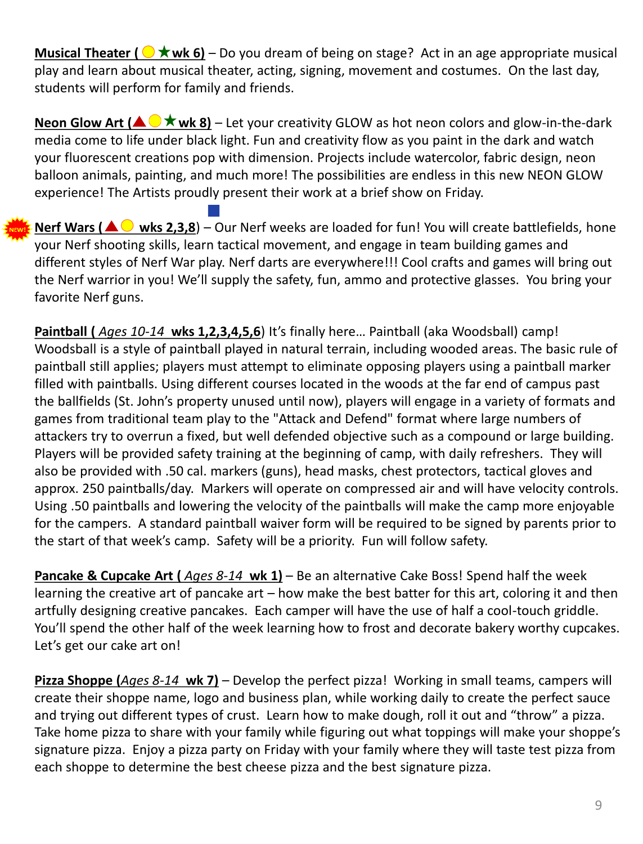**Musical Theater (** $\Diamond$  **<b>** $\star$  wk 6) – Do you dream of being on stage? Act in an age appropriate musical play and learn about musical theater, acting, signing, movement and costumes. On the last day, students will perform for family and friends.

**Neon Glow Art (** $\triangle$  $\triangleright$  **wk 8)** – Let your creativity GLOW as hot neon colors and glow-in-the-dark media come to life under black light. Fun and creativity flow as you paint in the dark and watch your fluorescent creations pop with dimension. Projects include watercolor, fabric design, neon balloon animals, painting, and much more! The possibilities are endless in this new NEON GLOW experience! The Artists proudly present their work at a brief show on Friday.

**Nerf Wars (** $\triangle$  wks 2,3,8) – Our Nerf weeks are loaded for fun! You will create battlefields, hone your Nerf shooting skills, learn tactical movement, and engage in team building games and different styles of Nerf War play. Nerf darts are everywhere!!! Cool crafts and games will bring out the Nerf warrior in you! We'll supply the safety, fun, ammo and protective glasses. You bring your favorite Nerf guns.

Paintball ( *Ages 10-14* wks 1,2,3,4,5,6) It's finally here... Paintball (aka Woodsball) camp! Woodsball is a style of paintball played in natural terrain, including wooded areas. The basic rule of paintball still applies; players must attempt to eliminate opposing players using a paintball marker filled with paintballs. Using different courses located in the woods at the far end of campus past the ballfields (St. John's property unused until now), players will engage in a variety of formats and games from traditional team play to the "Attack and Defend" format where large numbers of attackers try to overrun a fixed, but well defended objective such as a compound or large building. Players will be provided safety training at the beginning of camp, with daily refreshers. They will also be provided with .50 cal. markers (guns), head masks, chest protectors, tactical gloves and approx. 250 paintballs/day. Markers will operate on compressed air and will have velocity controls. Using .50 paintballs and lowering the velocity of the paintballs will make the camp more enjoyable for the campers. A standard paintball waiver form will be required to be signed by parents prior to the start of that week's camp. Safety will be a priority. Fun will follow safety.

**Pancake & Cupcake Art (** *Ages 8-14* **wk 1)** – Be an alternative Cake Boss! Spend half the week learning the creative art of pancake art – how make the best batter for this art, coloring it and then artfully designing creative pancakes. Each camper will have the use of half a cool-touch griddle. You'll spend the other half of the week learning how to frost and decorate bakery worthy cupcakes. Let's get our cake art on!

**Pizza Shoppe (***Ages 8-14* **wk 7)** – Develop the perfect pizza! Working in small teams, campers will create their shoppe name, logo and business plan, while working daily to create the perfect sauce and trying out different types of crust. Learn how to make dough, roll it out and "throw" a pizza. Take home pizza to share with your family while figuring out what toppings will make your shoppe's signature pizza. Enjoy a pizza party on Friday with your family where they will taste test pizza from each shoppe to determine the best cheese pizza and the best signature pizza.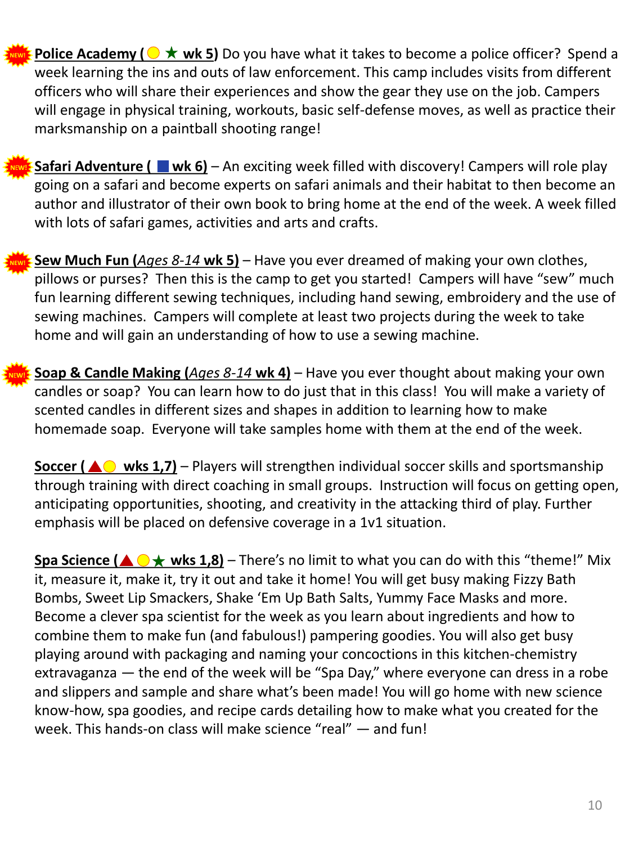**Police Academy (** $\odot \star$  **wk 5)** Do you have what it takes to become a police officer? Spend a week learning the ins and outs of law enforcement. This camp includes visits from different officers who will share their experiences and show the gear they use on the job. Campers will engage in physical training, workouts, basic self-defense moves, as well as practice their marksmanship on a paintball shooting range! **NEW!**



**Sew Much Fun (***Ages 8-14* **wk 5)** – Have you ever dreamed of making your own clothes, pillows or purses? Then this is the camp to get you started! Campers will have "sew" much fun learning different sewing techniques, including hand sewing, embroidery and the use of sewing machines. Campers will complete at least two projects during the week to take home and will gain an understanding of how to use a sewing machine. **NEW!**

**Soap & Candle Making (***Ages 8-14* **wk 4)** – Have you ever thought about making your own candles or soap? You can learn how to do just that in this class! You will make a variety of scented candles in different sizes and shapes in addition to learning how to make homemade soap. Everyone will take samples home with them at the end of the week.

**Soccer (AO wks 1,7)** – Players will strengthen individual soccer skills and sportsmanship through training with direct coaching in small groups. Instruction will focus on getting open, anticipating opportunities, shooting, and creativity in the attacking third of play. Further emphasis will be placed on defensive coverage in a 1v1 situation.

**Spa Science (** $\triangle \odot \star$  **wks 1,8)** – There's no limit to what you can do with this "theme!" Mix it, measure it, make it, try it out and take it home! You will get busy making Fizzy Bath Bombs, Sweet Lip Smackers, Shake 'Em Up Bath Salts, Yummy Face Masks and more. Become a clever spa scientist for the week as you learn about ingredients and how to combine them to make fun (and fabulous!) pampering goodies. You will also get busy playing around with packaging and naming your concoctions in this kitchen-chemistry extravaganza — the end of the week will be "Spa Day," where everyone can dress in a robe and slippers and sample and share what's been made! You will go home with new science know-how, spa goodies, and recipe cards detailing how to make what you created for the week. This hands-on class will make science "real" — and fun!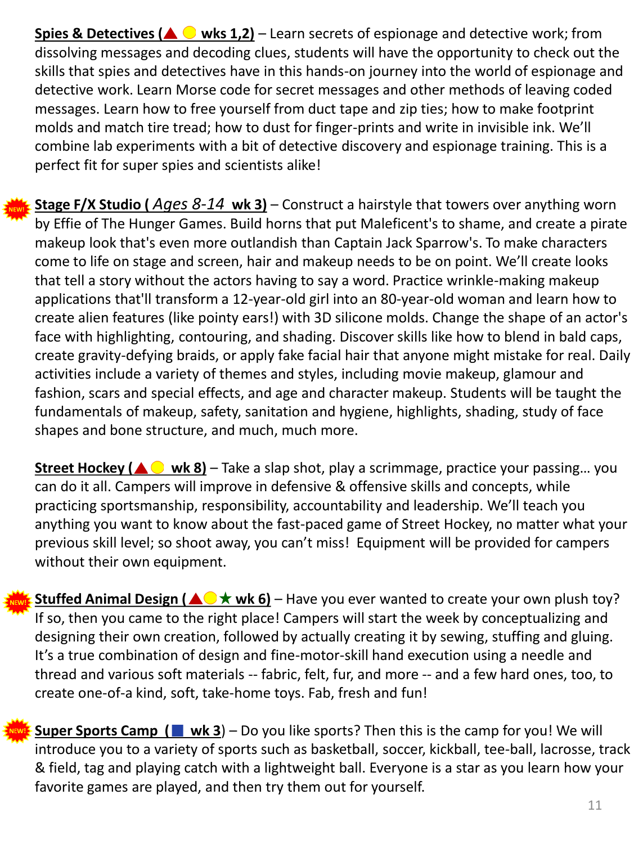**Spies & Detectives (** $\triangle$  $\bigcirc$  **wks 1,2)** – Learn secrets of espionage and detective work; from dissolving messages and decoding clues, students will have the opportunity to check out the skills that spies and detectives have in this hands-on journey into the world of espionage and detective work. Learn Morse code for secret messages and other methods of leaving coded messages. Learn how to free yourself from duct tape and zip ties; how to make footprint molds and match tire tread; how to dust for finger-prints and write in invisible ink. We'll combine lab experiments with a bit of detective discovery and espionage training. This is a perfect fit for super spies and scientists alike!

**NEW!**

**Stage F/X Studio (** *Ages 8-14* **wk 3)** – Construct a hairstyle that towers over anything worn by Effie of The Hunger Games. Build horns that put Maleficent's to shame, and create a pirate makeup look that's even more outlandish than Captain Jack Sparrow's. To make characters come to life on stage and screen, hair and makeup needs to be on point. We'll create looks that tell a story without the actors having to say a word. Practice wrinkle-making makeup applications that'll transform a 12-year-old girl into an 80-year-old woman and learn how to create alien features (like pointy ears!) with 3D silicone molds. Change the shape of an actor's face with highlighting, contouring, and shading. Discover skills like how to blend in bald caps, create gravity-defying braids, or apply fake facial hair that anyone might mistake for real. Daily activities include a variety of themes and styles, including movie makeup, glamour and fashion, scars and special effects, and age and character makeup. Students will be taught the fundamentals of makeup, safety, sanitation and hygiene, highlights, shading, study of face shapes and bone structure, and much, much more.

**Street Hockey (▲ ● wk 8)** – Take a slap shot, play a scrimmage, practice your passing... you can do it all. Campers will improve in defensive & offensive skills and concepts, while practicing sportsmanship, responsibility, accountability and leadership. We'll teach you anything you want to know about the fast-paced game of Street Hockey, no matter what your previous skill level; so shoot away, you can't miss! Equipment will be provided for campers without their own equipment.

**Stuffed Animal Design (** $\triangle$  $\triangle$  **wk 6)** – Have you ever wanted to create your own plush toy? If so, then you came to the right place! Campers will start the week by conceptualizing and designing their own creation, followed by actually creating it by sewing, stuffing and gluing. It's a true combination of design and fine-motor-skill hand execution using a needle and thread and various soft materials -- fabric, felt, fur, and more -- and a few hard ones, too, to create one-of-a kind, soft, take-home toys. Fab, fresh and fun!

**Super Sports Camp (**  $\blacksquare$  wk 3) – Do you like sports? Then this is the camp for you! We will introduce you to a variety of sports such as basketball, soccer, kickball, tee-ball, lacrosse, track & field, tag and playing catch with a lightweight ball. Everyone is a star as you learn how your favorite games are played, and then try them out for yourself.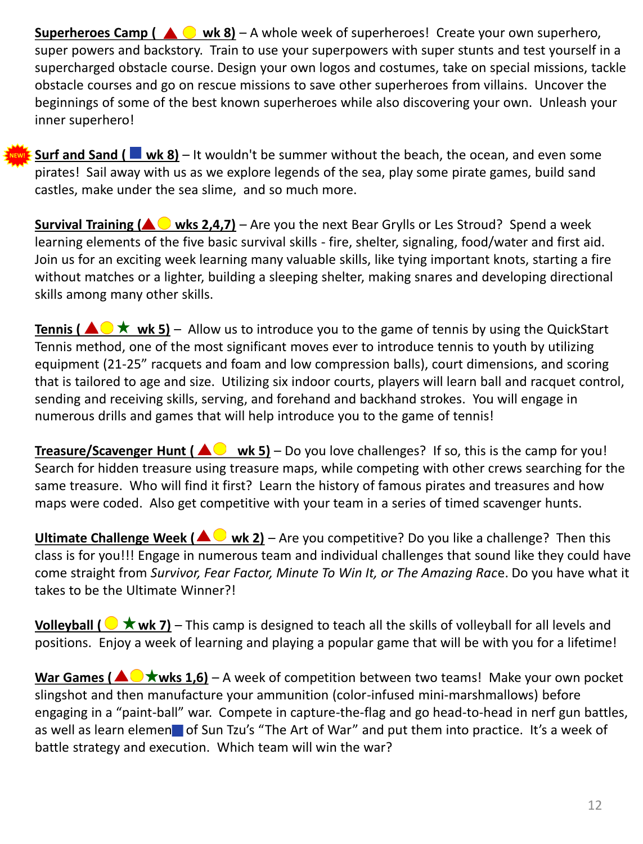**Superheroes Camp (** $\triangle$  $\odot$  **wk 8)** – A whole week of superheroes! Create your own superhero, super powers and backstory. Train to use your superpowers with super stunts and test yourself in a supercharged obstacle course. Design your own logos and costumes, take on special missions, tackle obstacle courses and go on rescue missions to save other superheroes from villains. Uncover the beginnings of some of the best known superheroes while also discovering your own. Unleash your inner superhero!

**Surf and Sand ( wk 8)** – It wouldn't be summer without the beach, the ocean, and even some pirates! Sail away with us as we explore legends of the sea, play some pirate games, build sand castles, make under the sea slime, and so much more.

**NEW!**

**Survival Training (** $\triangle$  **wks 2,4,7)** – Are you the next Bear Grylls or Les Stroud? Spend a week learning elements of the five basic survival skills - fire, shelter, signaling, food/water and first aid. Join us for an exciting week learning many valuable skills, like tying important knots, starting a fire without matches or a lighter, building a sleeping shelter, making snares and developing directional skills among many other skills.

**Tennis (**  $\triangle \bigcirc \star$  **wk 5)** – Allow us to introduce you to the game of tennis by using the QuickStart Tennis method, one of the most significant moves ever to introduce tennis to youth by utilizing equipment (21-25" racquets and foam and low compression balls), court dimensions, and scoring that is tailored to age and size. Utilizing six indoor courts, players will learn ball and racquet control, sending and receiving skills, serving, and forehand and backhand strokes. You will engage in numerous drills and games that will help introduce you to the game of tennis!

**Treasure/Scavenger Hunt (** $\triangle\bigcirc$  **wk 5)** – Do you love challenges? If so, this is the camp for you! Search for hidden treasure using treasure maps, while competing with other crews searching for the same treasure. Who will find it first? Learn the history of famous pirates and treasures and how maps were coded. Also get competitive with your team in a series of timed scavenger hunts.

**Ultimate Challenge Week (AO wk 2)** – Are you competitive? Do you like a challenge? Then this class is for you!!! Engage in numerous team and individual challenges that sound like they could have come straight from *Survivor, Fear Factor, Minute To Win It, or The Amazing Rac*e. Do you have what it takes to be the Ultimate Winner?!

**Volleyball (** $\bigcirc$  $\star$  **wk 7)** – This camp is designed to teach all the skills of volleyball for all levels and positions. Enjoy a week of learning and playing a popular game that will be with you for a lifetime!

**War Games (** $\triangle$  $\blacktriangleright$  **wks 1,6)** – A week of competition between two teams! Make your own pocket slingshot and then manufacture your ammunition (color-infused mini-marshmallows) before engaging in a "paint-ball" war. Compete in capture-the-flag and go head-to-head in nerf gun battles, as well as learn element of Sun Tzu's "The Art of War" and put them into practice. It's a week of battle strategy and execution. Which team will win the war?